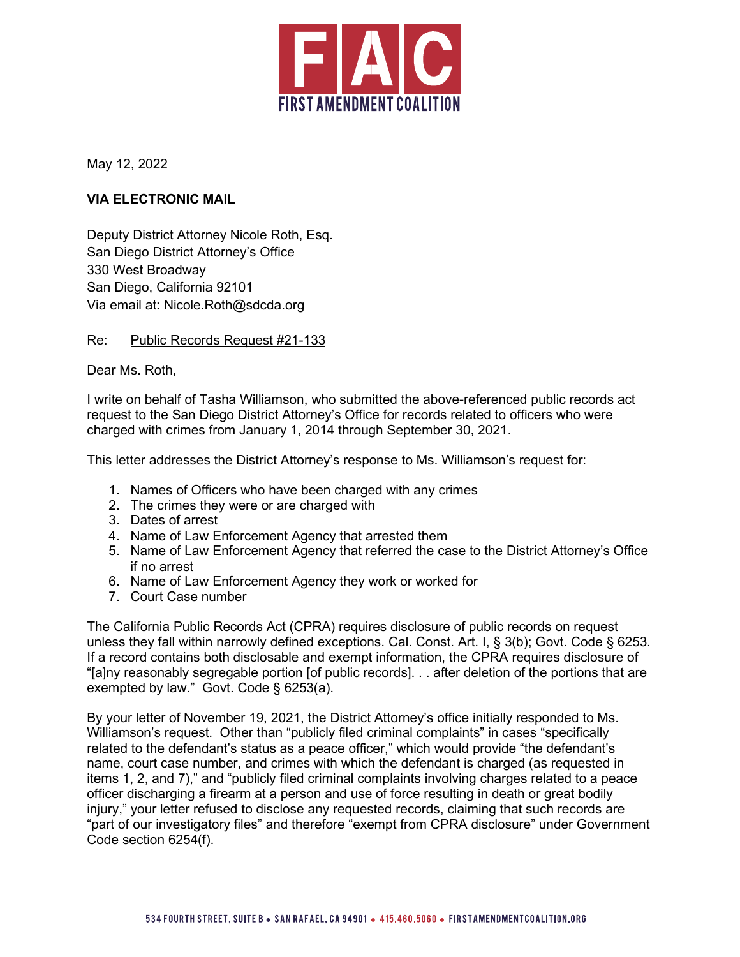

May 12, 2022

## **VIA ELECTRONIC MAIL**

Deputy District Attorney Nicole Roth, Esq. San Diego District Attorney's Office 330 West Broadway San Diego, California 92101 Via email at: Nicole.Roth@sdcda.org

## Re: Public Records Request #21-133

Dear Ms. Roth,

I write on behalf of Tasha Williamson, who submitted the above-referenced public records act request to the San Diego District Attorney's Office for records related to officers who were charged with crimes from January 1, 2014 through September 30, 2021.

This letter addresses the District Attorney's response to Ms. Williamson's request for:

- 1. Names of Officers who have been charged with any crimes
- 2. The crimes they were or are charged with
- 3. Dates of arrest
- 4. Name of Law Enforcement Agency that arrested them
- 5. Name of Law Enforcement Agency that referred the case to the District Attorney's Office if no arrest
- 6. Name of Law Enforcement Agency they work or worked for
- 7. Court Case number

The California Public Records Act (CPRA) requires disclosure of public records on request unless they fall within narrowly defined exceptions. Cal. Const. Art. I, § 3(b); Govt. Code § 6253. If a record contains both disclosable and exempt information, the CPRA requires disclosure of "[a]ny reasonably segregable portion [of public records]. . . after deletion of the portions that are exempted by law." Govt. Code § 6253(a).

By your letter of November 19, 2021, the District Attorney's office initially responded to Ms. Williamson's request. Other than "publicly filed criminal complaints" in cases "specifically related to the defendant's status as a peace officer," which would provide "the defendant's name, court case number, and crimes with which the defendant is charged (as requested in items 1, 2, and 7)," and "publicly filed criminal complaints involving charges related to a peace officer discharging a firearm at a person and use of force resulting in death or great bodily injury," your letter refused to disclose any requested records, claiming that such records are "part of our investigatory files" and therefore "exempt from CPRA disclosure" under Government Code section 6254(f).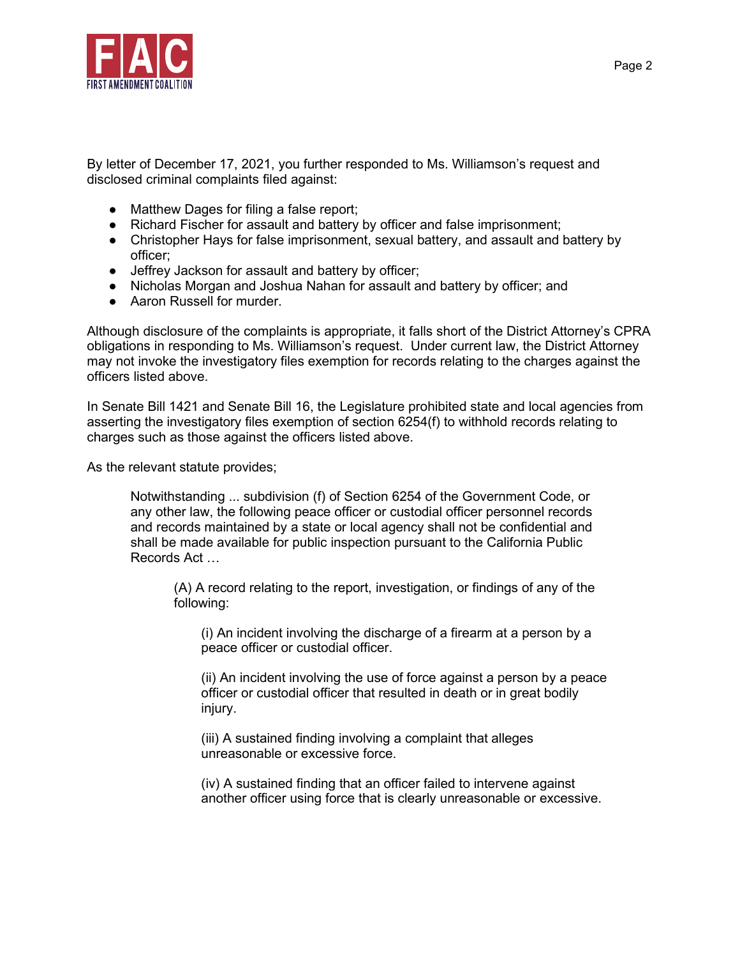

By letter of December 17, 2021, you further responded to Ms. Williamson's request and disclosed criminal complaints filed against:

- Matthew Dages for filing a false report;
- Richard Fischer for assault and battery by officer and false imprisonment;
- Christopher Hays for false imprisonment, sexual battery, and assault and battery by officer;
- Jeffrey Jackson for assault and battery by officer;
- Nicholas Morgan and Joshua Nahan for assault and battery by officer; and
- Aaron Russell for murder.

Although disclosure of the complaints is appropriate, it falls short of the District Attorney's CPRA obligations in responding to Ms. Williamson's request. Under current law, the District Attorney may not invoke the investigatory files exemption for records relating to the charges against the officers listed above.

In Senate Bill 1421 and Senate Bill 16, the Legislature prohibited state and local agencies from asserting the investigatory files exemption of section 6254(f) to withhold records relating to charges such as those against the officers listed above.

As the relevant statute provides;

Notwithstanding ... subdivision (f) of Section 6254 of the Government Code, or any other law, the following peace officer or custodial officer personnel records and records maintained by a state or local agency shall not be confidential and shall be made available for public inspection pursuant to the California Public Records Act …

(A) A record relating to the report, investigation, or findings of any of the following:

(i) An incident involving the discharge of a firearm at a person by a peace officer or custodial officer.

(ii) An incident involving the use of force against a person by a peace officer or custodial officer that resulted in death or in great bodily injury.

(iii) A sustained finding involving a complaint that alleges unreasonable or excessive force.

(iv) A sustained finding that an officer failed to intervene against another officer using force that is clearly unreasonable or excessive.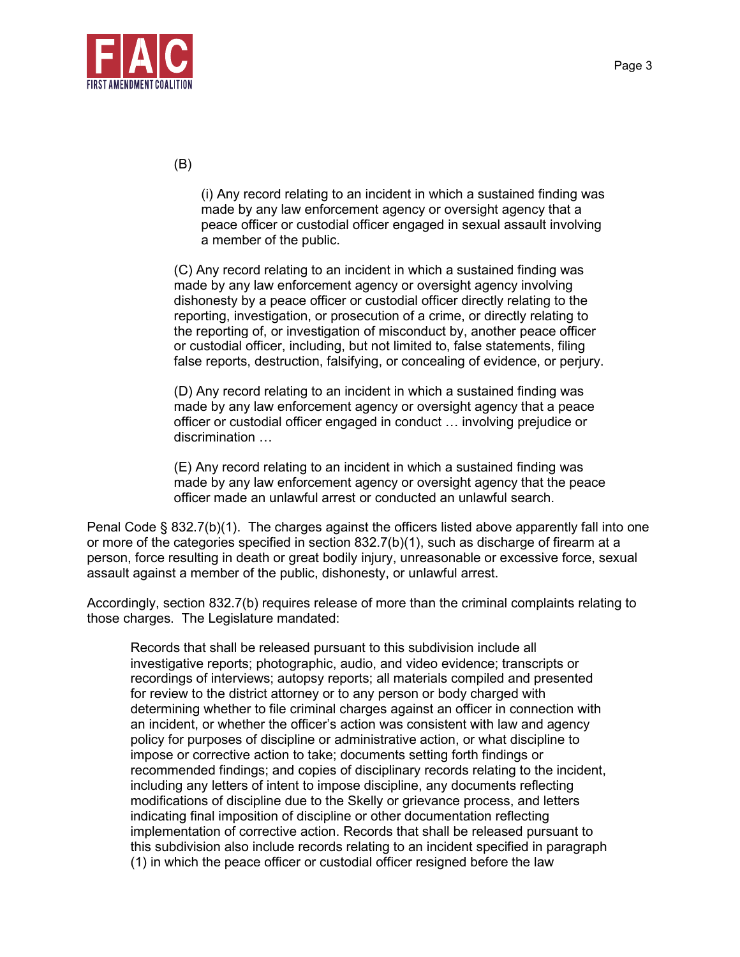

(B)

(i) Any record relating to an incident in which a sustained finding was made by any law enforcement agency or oversight agency that a peace officer or custodial officer engaged in sexual assault involving a member of the public.

(C) Any record relating to an incident in which a sustained finding was made by any law enforcement agency or oversight agency involving dishonesty by a peace officer or custodial officer directly relating to the reporting, investigation, or prosecution of a crime, or directly relating to the reporting of, or investigation of misconduct by, another peace officer or custodial officer, including, but not limited to, false statements, filing false reports, destruction, falsifying, or concealing of evidence, or perjury.

(D) Any record relating to an incident in which a sustained finding was made by any law enforcement agency or oversight agency that a peace officer or custodial officer engaged in conduct … involving prejudice or discrimination …

(E) Any record relating to an incident in which a sustained finding was made by any law enforcement agency or oversight agency that the peace officer made an unlawful arrest or conducted an unlawful search.

Penal Code § 832.7(b)(1). The charges against the officers listed above apparently fall into one or more of the categories specified in section 832.7(b)(1), such as discharge of firearm at a person, force resulting in death or great bodily injury, unreasonable or excessive force, sexual assault against a member of the public, dishonesty, or unlawful arrest.

Accordingly, section 832.7(b) requires release of more than the criminal complaints relating to those charges. The Legislature mandated:

Records that shall be released pursuant to this subdivision include all investigative reports; photographic, audio, and video evidence; transcripts or recordings of interviews; autopsy reports; all materials compiled and presented for review to the district attorney or to any person or body charged with determining whether to file criminal charges against an officer in connection with an incident, or whether the officer's action was consistent with law and agency policy for purposes of discipline or administrative action, or what discipline to impose or corrective action to take; documents setting forth findings or recommended findings; and copies of disciplinary records relating to the incident, including any letters of intent to impose discipline, any documents reflecting modifications of discipline due to the Skelly or grievance process, and letters indicating final imposition of discipline or other documentation reflecting implementation of corrective action. Records that shall be released pursuant to this subdivision also include records relating to an incident specified in paragraph (1) in which the peace officer or custodial officer resigned before the law